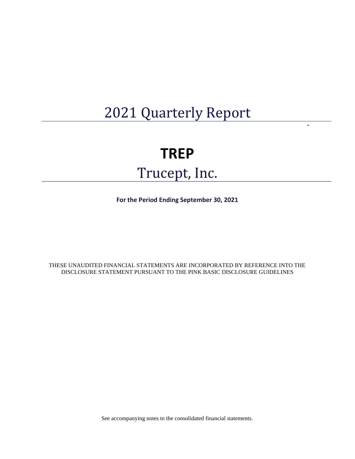## 2021 Quarterly Report

 $\blacksquare$ 

# **TREP**  Trucept, Inc.

**For the Period Ending September 30, 2021**

THESE UNAUDITED FINANCIAL STATEMENTS ARE INCORPORATED BY REFERENCE INTO THE DISCLOSURE STATEMENT PURSUANT TO THE PINK BASIC DISCLOSURE GUIDELINES

See accompanying notes to the consolidated financial statements.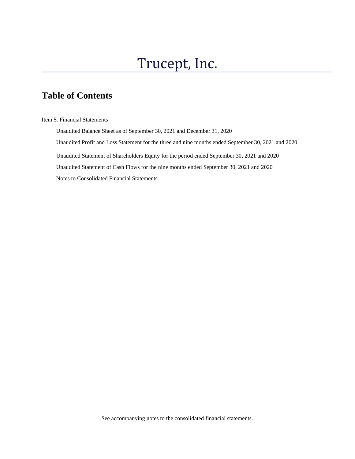## Trucept, Inc.

## **Table of Contents**

Item 5. Financial Statements

 Unaudited Balance Sheet as of September 30, 2021 and December 31, 2020 Unaudited Profit and Loss Statement for the three and nine months ended September 30, 2021 and 2020 Unaudited Statement of Shareholders Equity for the period ended September 30, 2021 and 2020 Unaudited Statement of Cash Flows for the nine months ended September 30, 2021 and 2020 Notes to Consolidated Financial Statements

See accompanying notes to the consolidated financial statements.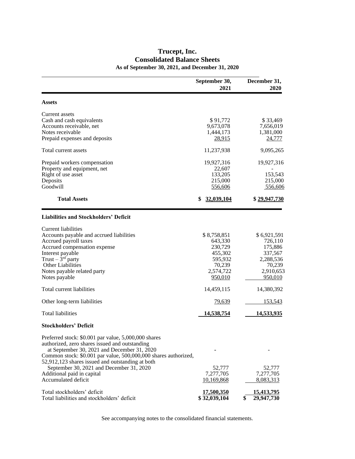### **Trucept, Inc. Consolidated Balance Sheets As of September 30, 2021, and December 31, 2020**

l

|                                                                                                                     | September 30,<br>2021       | December 31,<br>2020        |
|---------------------------------------------------------------------------------------------------------------------|-----------------------------|-----------------------------|
| <b>Assets</b>                                                                                                       |                             |                             |
| Current assets                                                                                                      |                             |                             |
| Cash and cash equivalents                                                                                           | \$91,772                    | \$33,469                    |
| Accounts receivable, net                                                                                            | 9,673,078                   | 7,656,019                   |
| Notes receivable                                                                                                    | 1,444,173                   | 1,381,000                   |
| Prepaid expenses and deposits                                                                                       | <u>28,915</u>               | 24,777                      |
| Total current assets                                                                                                | 11,237,938                  | 9,095,265                   |
| Prepaid workers compensation                                                                                        | 19,927,316                  | 19,927,316                  |
| Property and equipment, net                                                                                         | 22,607                      |                             |
| Right of use asset                                                                                                  | 133,205                     | 153,543                     |
| Deposits                                                                                                            | 215,000                     | 215,000                     |
| Goodwill                                                                                                            | 556,606                     | 556,606                     |
| <b>Total Assets</b>                                                                                                 | 32,039,104                  | \$29,947,730                |
| <b>Liabilities and Stockholders' Deficit</b>                                                                        |                             |                             |
| Current liabilities                                                                                                 |                             |                             |
| Accounts payable and accrued liabilities                                                                            | \$8,758,851                 | \$6,921,591                 |
| Accrued payroll taxes                                                                                               | 643,330                     | 726,110                     |
| Accrued compensation expense                                                                                        | 230,729                     | 175,886                     |
| Interest payable                                                                                                    | 455,302                     | 337,567                     |
| Trust $-3rd$ party                                                                                                  | 595,932                     | 2,288,536                   |
| <b>Other Liabilities</b>                                                                                            | 70,239                      | 70,239                      |
| Notes payable related party<br>Notes payable                                                                        | 2,574,722<br><u>950,010</u> | 2,910,653<br><u>950,010</u> |
|                                                                                                                     |                             |                             |
| Total current liabilities                                                                                           | 14,459,115                  | 14,380,392                  |
| Other long-term liabilities                                                                                         | 79,639                      | 153,543                     |
| <b>Total liabilities</b>                                                                                            | 14,538,754                  | 14,533,935                  |
| <b>Stockholders' Deficit</b>                                                                                        |                             |                             |
| Preferred stock: \$0.001 par value, 5,000,000 shares                                                                |                             |                             |
| authorized, zero shares issued and outstanding                                                                      |                             |                             |
| at September 30, 2021 and December 31, 2020                                                                         |                             |                             |
| Common stock: \$0.001 par value, 500,000,000 shares authorized,<br>52,912,123 shares issued and outstanding at both |                             |                             |
| September 30, 2021 and December 31, 2020                                                                            | 52,777                      | 52,777                      |
| Additional paid in capital                                                                                          | 7,277,705                   | 7,277,705                   |
| Accumulated deficit                                                                                                 | 10,169,868                  | 8,083,313                   |
| Total stockholders' deficit                                                                                         | <u>17,500,350</u>           | 15,413,795                  |
| Total liabilities and stockholders' deficit                                                                         | \$32,039,104                | 29,947,730                  |

See accompanying notes to the consolidated financial statements.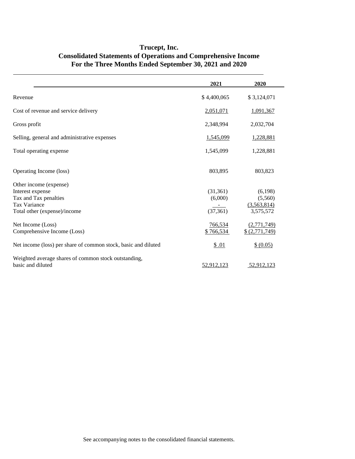### **Trucept, Inc. Consolidated Statements of Operations and Comprehensive Income For the Three Months Ended September 30, 2021 and 2020**

l

|                                                                           | 2021        | 2020           |
|---------------------------------------------------------------------------|-------------|----------------|
| Revenue                                                                   | \$4,400,065 | \$3,124,071    |
| Cost of revenue and service delivery                                      | 2,051,071   | 1,091,367      |
| Gross profit                                                              | 2,348,994   | 2,032,704      |
| Selling, general and administrative expenses                              | 1,545,099   | 1,228,881      |
| Total operating expense                                                   | 1,545,099   | 1,228,881      |
| Operating Income (loss)                                                   | 803,895     | 803,823        |
| Other income (expense)                                                    |             |                |
| Interest expense                                                          | (31,361)    | (6,198)        |
| Tax and Tax penalties                                                     | (6,000)     | (5,560)        |
| <b>Tax Variance</b>                                                       |             | (3,563,814)    |
| Total other (expense)/income                                              | (37, 361)   | 3,575,572      |
| Net Income (Loss)                                                         | 766,534     | (2,771,749)    |
| Comprehensive Income (Loss)                                               | \$766,534   | \$ (2,771,749) |
| Net income (loss) per share of common stock, basic and diluted            | \$.01       | \$ (0.05)      |
| Weighted average shares of common stock outstanding,<br>basic and diluted | 52,912,123  | 52,912,123     |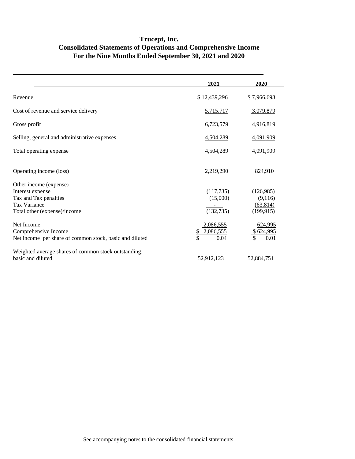## **Trucept, Inc. Consolidated Statements of Operations and Comprehensive Income For the Nine Months Ended September 30, 2021 and 2020**

|                                                         | 2021            | 2020        |
|---------------------------------------------------------|-----------------|-------------|
| Revenue                                                 | \$12,439,296    | \$7,966,698 |
| Cost of revenue and service delivery                    | 5,715,717       | 3,079,879   |
| Gross profit                                            | 6,723,579       | 4,916,819   |
| Selling, general and administrative expenses            | 4,504,289       | 4,091,909   |
| Total operating expense                                 | 4,504,289       | 4,091,909   |
| Operating income (loss)                                 | 2,219,290       | 824,910     |
| Other income (expense)                                  |                 |             |
| Interest expense                                        | (117, 735)      | (126,985)   |
| Tax and Tax penalties                                   | (15,000)        | (9,116)     |
| <b>Tax Variance</b>                                     |                 | (63, 814)   |
| Total other (expense)/income                            | (132, 735)      | (199, 915)  |
| Net Income                                              | 2,086,555       | 624,995     |
| Comprehensive Income                                    | 2,086,555<br>\$ | \$624,995   |
| Net income per share of common stock, basic and diluted | 0.04            | \$<br>0.01  |
| Weighted average shares of common stock outstanding,    |                 |             |
| basic and diluted                                       | 52,912,123      | 52,884,751  |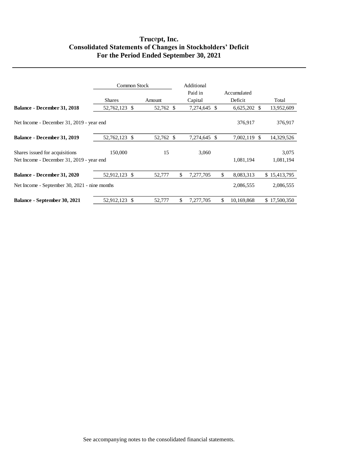### **Truc**e**pt, Inc. Consolidated Statements of Changes in Stockholders' Deficit For the Period Ended September 30, 2021**

|                                               | Common Stock  |     |           |    | Additional<br>Paid in | Accumulated      |              |
|-----------------------------------------------|---------------|-----|-----------|----|-----------------------|------------------|--------------|
|                                               | <b>Shares</b> |     | Amount    |    | Capital               | Deficit          | Total        |
| Balance - December 31, 2018                   | 52,762,123 \$ |     | 52,762 \$ |    | 7,274,645 \$          | $6,625,202$ \$   | 13,952,609   |
| Net Income - December 31, 2019 - year end     |               |     |           |    |                       | 376,917          | 376,917      |
| Balance - December 31, 2019                   | 52,762,123 \$ |     | 52,762 \$ |    | 7,274,645 \$          | 7,002,119 \$     | 14,329,526   |
| Shares issued for acquisitions                | 150,000       |     | 15        |    | 3,060                 |                  | 3,075        |
| Net Income - December 31, 2019 - year end     |               |     |           |    |                       | 1,081,194        | 1,081,194    |
| Balance - December 31, 2020                   | 52,912,123 \$ |     | 52,777    | \$ | 7,277,705             | \$<br>8,083,313  | \$15,413,795 |
| Net Income - September 30, 2021 - nine months |               |     |           |    |                       | 2,086,555        | 2,086,555    |
| Balance - September 30, 2021                  | 52,912,123    | -\$ | 52,777    | \$ | 7,277,705             | \$<br>10,169,868 | \$17,500,350 |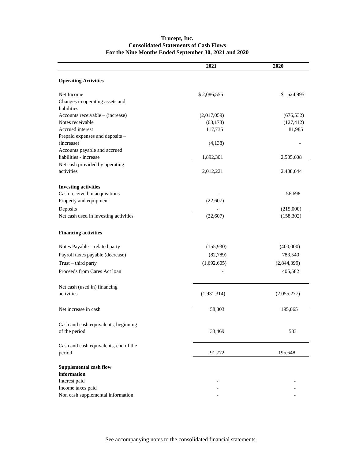#### **Trucept, Inc. Consolidated Statements of Cash Flows For the Nine Months Ended September 30, 2021 and 2020**

|                                                | 2021        | 2020        |
|------------------------------------------------|-------------|-------------|
| <b>Operating Activities</b>                    |             |             |
| Net Income                                     | \$2,086,555 | \$624,995   |
| Changes in operating assets and<br>liabilities |             |             |
| Accounts receivable - (increase)               | (2,017,059) | (676, 532)  |
| Notes receivable                               | (63, 173)   | (127, 412)  |
| Accrued interest                               | 117,735     | 81,985      |
| Prepaid expenses and deposits -                |             |             |
| (increase)                                     | (4,138)     |             |
| Accounts payable and accrued                   |             |             |
| liabilities - increase                         | 1,892,301   | 2,505,608   |
| Net cash provided by operating                 |             |             |
| activities                                     | 2,012,221   | 2,408,644   |
| <b>Investing activities</b>                    |             |             |
| Cash received in acquisitions                  |             | 56,698      |
| Property and equipment                         | (22,607)    |             |
| Deposits                                       |             | (215,000)   |
| Net cash used in investing activities          | (22, 607)   | (158, 302)  |
| <b>Financing activities</b>                    |             |             |
| Notes Payable - related party                  | (155,930)   | (400,000)   |
| Payroll taxes payable (decrease)               | (82,789)    | 783,540     |
| Trust - third party                            | (1,692,605) | (2,844,399) |
| Proceeds from Cares Act loan                   |             | 405,582     |
| Net cash (used in) financing                   |             |             |
| activities                                     | (1,931,314) | (2,055,277) |
| Net increase in cash                           | 58,303      | 195,065     |
| Cash and cash equivalents, beginning           |             |             |
| of the period                                  | 33,469      | 583         |
| Cash and cash equivalents, end of the          |             |             |
| period                                         | 91,772      | 195,648     |
| <b>Supplemental cash flow</b>                  |             |             |
| information                                    |             |             |
| Interest paid                                  |             |             |
| Income taxes paid                              |             |             |
| Non cash supplemental information              |             |             |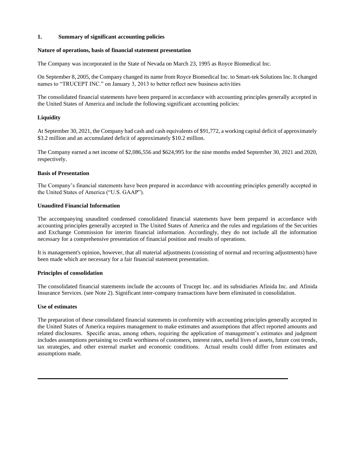#### **1. Summary of significant accounting policies**

#### **Nature of operations, basis of financial statement presentation**

The Company was incorporated in the State of Nevada on March 23, 1995 as Royce Biomedical Inc.

On September 8, 2005, the Company changed its name from Royce Biomedical Inc. to Smart-tek Solutions Inc. It changed names to "TRUCEPT INC." on January 3, 2013 to better reflect new business activities

The consolidated financial statements have been prepared in accordance with accounting principles generally accepted in the United States of America and include the following significant accounting policies:

#### **Liquidity**

At September 30, 2021, the Company had cash and cash equivalents of \$91,772, a working capital deficit of approximately \$3.2 million and an accumulated deficit of approximately \$10.2 million.

The Company earned a net income of \$2,086,556 and \$624,995 for the nine months ended September 30, 2021 and 2020, respectively.

#### **Basis of Presentation**

The Company's financial statements have been prepared in accordance with accounting principles generally accepted in the United States of America ("U.S. GAAP").

#### **Unaudited Financial Information**

The accompanying unaudited condensed consolidated financial statements have been prepared in accordance with accounting principles generally accepted in The United States of America and the rules and regulations of the Securities and Exchange Commission for interim financial information. Accordingly, they do not include all the information necessary for a comprehensive presentation of financial position and results of operations.

It is management's opinion, however, that all material adjustments (consisting of normal and recurring adjustments) have been made which are necessary for a fair financial statement presentation.

#### **Principles of consolidation**

The consolidated financial statements include the accounts of Trucept Inc. and its subsidiaries Afinida Inc. and Afinida Insurance Services. (see Note 2). Significant inter-company transactions have been eliminated in consolidation.

#### **Use of estimates**

The preparation of these consolidated financial statements in conformity with accounting principles generally accepted in the United States of America requires management to make estimates and assumptions that affect reported amounts and related disclosures. Specific areas, among others, requiring the application of management's estimates and judgment includes assumptions pertaining to credit worthiness of customers, interest rates, useful lives of assets, future cost trends, tax strategies, and other external market and economic conditions. Actual results could differ from estimates and assumptions made.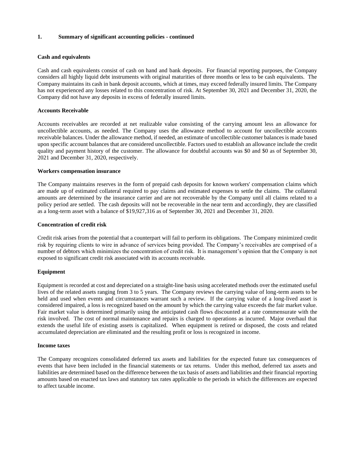#### **Cash and equivalents**

Cash and cash equivalents consist of cash on hand and bank deposits. For financial reporting purposes, the Company considers all highly liquid debt instruments with original maturities of three months or less to be cash equivalents. The Company maintains its cash in bank deposit accounts, which at times, may exceed federally insured limits. The Company has not experienced any losses related to this concentration of risk. At September 30, 2021 and December 31, 2020, the Company did not have any deposits in excess of federally insured limits.

#### **Accounts Receivable**

Accounts receivables are recorded at net realizable value consisting of the carrying amount less an allowance for uncollectible accounts, as needed. The Company uses the allowance method to account for uncollectible accounts receivable balances. Under the allowance method, if needed, an estimate of uncollectible customer balances is made based upon specific account balances that are considered uncollectible. Factors used to establish an allowance include the credit quality and payment history of the customer. The allowance for doubtful accounts was \$0 and \$0 as of September 30, 2021 and December 31, 2020, respectively.

#### **Workers compensation insurance**

The Company maintains reserves in the form of prepaid cash deposits for known workers' compensation claims which are made up of estimated collateral required to pay claims and estimated expenses to settle the claims. The collateral amounts are determined by the insurance carrier and are not recoverable by the Company until all claims related to a policy period are settled. The cash deposits will not be recoverable in the near term and accordingly, they are classified as a long-term asset with a balance of \$19,927,316 as of September 30, 2021 and December 31, 2020.

#### **Concentration of credit risk**

Credit risk arises from the potential that a counterpart will fail to perform its obligations. The Company minimized credit risk by requiring clients to wire in advance of services being provided. The Company's receivables are comprised of a number of debtors which minimizes the concentration of credit risk. It is management's opinion that the Company is not exposed to significant credit risk associated with its accounts receivable.

#### **Equipment**

Equipment is recorded at cost and depreciated on a straight-line basis using accelerated methods over the estimated useful lives of the related assets ranging from 3 to 5 years. The Company reviews the carrying value of long-term assets to be held and used when events and circumstances warrant such a review. If the carrying value of a long-lived asset is considered impaired, a loss is recognized based on the amount by which the carrying value exceeds the fair market value. Fair market value is determined primarily using the anticipated cash flows discounted at a rate commensurate with the risk involved. The cost of normal maintenance and repairs is charged to operations as incurred. Major overhaul that extends the useful life of existing assets is capitalized. When equipment is retired or disposed, the costs and related accumulated depreciation are eliminated and the resulting profit or loss is recognized in income.

#### **Income taxes**

The Company recognizes consolidated deferred tax assets and liabilities for the expected future tax consequences of events that have been included in the financial statements or tax returns. Under this method, deferred tax assets and liabilities are determined based on the difference between the tax basis of assets and liabilities and their financial reporting amounts based on enacted tax laws and statutory tax rates applicable to the periods in which the differences are expected to affect taxable income.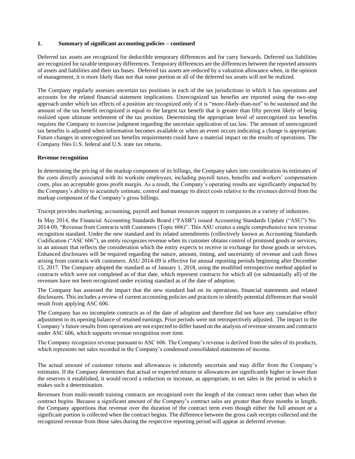Deferred tax assets are recognized for deductible temporary differences and for carry forwards. Deferred tax liabilities are recognized for taxable temporary differences. Temporary differences are the differences between the reported amounts of assets and liabilities and their tax bases. Deferred tax assets are reduced by a valuation allowance when, in the opinion of management, it is more likely than not that some portion or all of the deferred tax assets will not be realized.

The Company regularly assesses uncertain tax positions in each of the tax jurisdictions in which it has operations and accounts for the related financial statement implications. Unrecognized tax benefits are reported using the two-step approach under which tax effects of a position are recognized only if it is "more-likely-than-not" to be sustained and the amount of the tax benefit recognized is equal to the largest tax benefit that is greater than fifty percent likely of being realized upon ultimate settlement of the tax position. Determining the appropriate level of unrecognized tax benefits requires the Company to exercise judgment regarding the uncertain application of tax law. The amount of unrecognized tax benefits is adjusted when information becomes available or when an event occurs indicating a change is appropriate. Future changes in unrecognized tax benefits requirements could have a material impact on the results of operations. The Company files U.S. federal and U.S. state tax returns.

#### **Revenue recognition**

In determining the pricing of the markup component of its billings, the Company takes into consideration its estimates of the costs directly associated with its worksite employees, including payroll taxes, benefits and workers' compensation costs, plus an acceptable gross profit margin. As a result, the Company's operating results are significantly impacted by the Company's ability to accurately estimate, control and manage its direct costs relative to the revenues derived from the markup component of the Company's gross billings.

Trucept provides marketing, accounting, payroll and human resources support to companies in a variety of industries.

In May 2014, the Financial Accounting Standards Board ("FASB") issued Accounting Standards Update ("ASU") No. 2014-09, "Revenue from Contracts with Customers (Topic 606)". This ASU creates a single comprehensive new revenue recognition standard. Under the new standard and its related amendments (collectively known as Accounting Standards Codification ("ASC 606"), an entity recognizes revenue when its customer obtains control of promised goods or services, in an amount that reflects the consideration which the entity expects to receive in exchange for those goods or services. Enhanced disclosures will be required regarding the nature, amount, timing, and uncertainty of revenue and cash flows arising from contracts with customers. ASU 2014-09 is effective for annual reporting periods beginning after December 15, 2017. The Company adopted the standard as of January 1, 2018, using the modified retrospective method applied to contracts which were not completed as of that date, which represent contracts for which all (or substantially all) of the revenues have not been recognized under existing standard as of the date of adoption.

The Company has assessed the impact that the new standard had on its operations, financial statements and related disclosures. This includes a review of current accounting policies and practices to identify potential differences that would result from applying ASC 606.

The Company has no incomplete contracts as of the date of adoption and therefore did not have any cumulative effect adjustment to its opening balance of retained earnings. Prior periods were not retrospectively adjusted. The impact to the Company's future results from operations are not expected to differ based on the analysis of revenue streams and contracts under ASC 606, which supports revenue recognition over time.

The Company recognizes revenue pursuant to ASC 606. The Company's revenue is derived from the sales of its products, which represents net sales recorded in the Company's condensed consolidated statements of income.

The actual amount of customer returns and allowances is inherently uncertain and may differ from the Company's estimates. If the Company determines that actual or expected returns or allowances are significantly higher or lower than the reserves it established, it would record a reduction or increase, as appropriate, to net sales in the period in which it makes such a determination.

Revenues from multi-month training contracts are recognized over the length of the contract term rather than when the contract begins. Because a significant amount of the Company's contract sales are greater than three months in length, the Company apportions that revenue over the duration of the contract term even though either the full amount or a significant portion is collected when the contract begins. The difference between the gross cash receipts collected and the recognized revenue from those sales during the respective reporting period will appear as deferred revenue.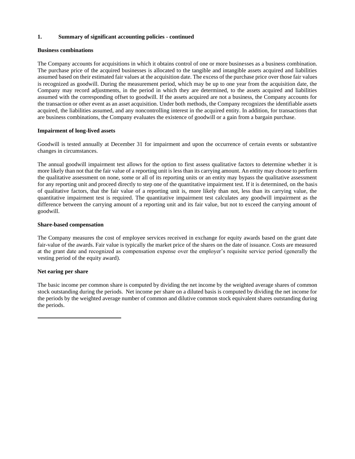#### **Business combinations**

The Company accounts for acquisitions in which it obtains control of one or more businesses as a business combination. The purchase price of the acquired businesses is allocated to the tangible and intangible assets acquired and liabilities assumed based on their estimated fair values at the acquisition date. The excess of the purchase price over those fair values is recognized as goodwill. During the measurement period, which may be up to one year from the acquisition date, the Company may record adjustments, in the period in which they are determined, to the assets acquired and liabilities assumed with the corresponding offset to goodwill. If the assets acquired are not a business, the Company accounts for the transaction or other event as an asset acquisition. Under both methods, the Company recognizes the identifiable assets acquired, the liabilities assumed, and any noncontrolling interest in the acquired entity. In addition, for transactions that are business combinations, the Company evaluates the existence of goodwill or a gain from a bargain purchase.

#### **Impairment of long-lived assets**

Goodwill is tested annually at December 31 for impairment and upon the occurrence of certain events or substantive changes in circumstances.

The annual goodwill impairment test allows for the option to first assess qualitative factors to determine whether it is more likely than not that the fair value of a reporting unit is less than its carrying amount. An entity may choose to perform the qualitative assessment on none, some or all of its reporting units or an entity may bypass the qualitative assessment for any reporting unit and proceed directly to step one of the quantitative impairment test. If it is determined, on the basis of qualitative factors, that the fair value of a reporting unit is, more likely than not, less than its carrying value, the quantitative impairment test is required. The quantitative impairment test calculates any goodwill impairment as the difference between the carrying amount of a reporting unit and its fair value, but not to exceed the carrying amount of goodwill.

#### **Share-based compensation**

The Company measures the cost of employee services received in exchange for equity awards based on the grant date fair-value of the awards. Fair value is typically the market price of the shares on the date of issuance. Costs are measured at the grant date and recognized as compensation expense over the employer's requisite service period (generally the vesting period of the equity award).

#### **Net earing per share**

The basic income per common share is computed by dividing the net income by the weighted average shares of common stock outstanding during the periods. Net income per share on a diluted basis is computed by dividing the net income for the periods by the weighted average number of common and dilutive common stock equivalent shares outstanding during the periods.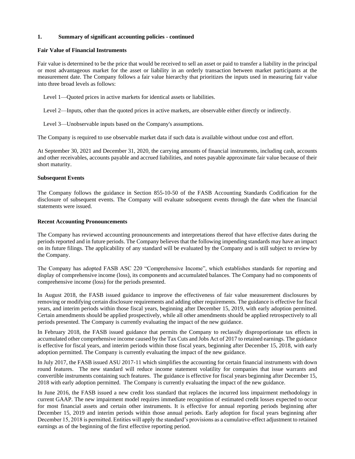#### **Fair Value of Financial Instruments**

Fair value is determined to be the price that would be received to sell an asset or paid to transfer a liability in the principal or most advantageous market for the asset or liability in an orderly transaction between market participants at the measurement date. The Company follows a fair value hierarchy that prioritizes the inputs used in measuring fair value into three broad levels as follows:

Level 1—Quoted prices in active markets for identical assets or liabilities.

Level 2—Inputs, other than the quoted prices in active markets, are observable either directly or indirectly.

Level 3—Unobservable inputs based on the Company's assumptions.

The Company is required to use observable market data if such data is available without undue cost and effort.

At September 30, 2021 and December 31, 2020, the carrying amounts of financial instruments, including cash, accounts and other receivables, accounts payable and accrued liabilities, and notes payable approximate fair value because of their short maturity.

#### **Subsequent Events**

The Company follows the guidance in Section 855-10-50 of the FASB Accounting Standards Codification for the disclosure of subsequent events. The Company will evaluate subsequent events through the date when the financial statements were issued.

#### **Recent Accounting Pronouncements**

The Company has reviewed accounting pronouncements and interpretations thereof that have effective dates during the periods reported and in future periods. The Company believes that the following impending standards may have an impact on its future filings. The applicability of any standard will be evaluated by the Company and is still subject to review by the Company.

The Company has adopted FASB ASC 220 "Comprehensive Income", which establishes standards for reporting and display of comprehensive income (loss), its components and accumulated balances. The Company had no components of comprehensive income (loss) for the periods presented.

In August 2018, the FASB issued guidance to improve the effectiveness of fair value measurement disclosures by removing or modifying certain disclosure requirements and adding other requirements. The guidance is effective for fiscal years, and interim periods within those fiscal years, beginning after December 15, 2019, with early adoption permitted. Certain amendments should be applied prospectively, while all other amendments should be applied retrospectively to all periods presented. The Company is currently evaluating the impact of the new guidance.

In February 2018, the FASB issued guidance that permits the Company to reclassify disproportionate tax effects in accumulated other comprehensive income caused by the Tax Cuts and Jobs Act of 2017 to retained earnings. The guidance is effective for fiscal years, and interim periods within those fiscal years, beginning after December 15, 2018, with early adoption permitted. The Company is currently evaluating the impact of the new guidance.

In July 2017, the FASB issued ASU 2017-11 which simplifies the accounting for certain financial instruments with down round features. The new standard will reduce income statement volatility for companies that issue warrants and convertible instruments containing such features. The guidance is effective for fiscal years beginning after December 15, 2018 with early adoption permitted. The Company is currently evaluating the impact of the new guidance.

In June 2016, the FASB issued a new credit loss standard that replaces the incurred loss impairment methodology in current GAAP. The new impairment model requires immediate recognition of estimated credit losses expected to occur for most financial assets and certain other instruments. It is effective for annual reporting periods beginning after December 15, 2019 and interim periods within those annual periods. Early adoption for fiscal years beginning after December 15, 2018 is permitted. Entities will apply the standard's provisions as a cumulative-effect adjustment to retained earnings as of the beginning of the first effective reporting period.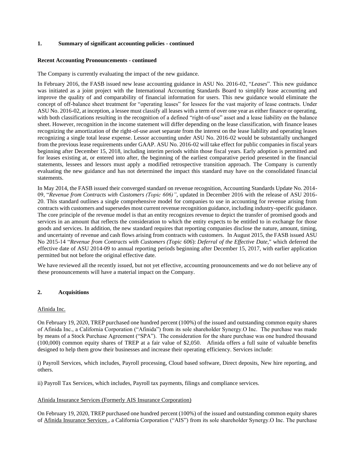#### **Recent Accounting Pronouncements - continued**

The Company is currently evaluating the impact of the new guidance.

In February 2016, the FASB issued new lease accounting guidance in ASU No. 2016-02, "*Leases*". This new guidance was initiated as a joint project with the International Accounting Standards Board to simplify lease accounting and improve the quality of and comparability of financial information for users. This new guidance would eliminate the concept of off-balance sheet treatment for "operating leases" for lessees for the vast majority of lease contracts. Under ASU No. 2016-02, at inception, a lessee must classify all leases with a term of over one year as either finance or operating, with both classifications resulting in the recognition of a defined "right-of-use" asset and a lease liability on the balance sheet. However, recognition in the income statement will differ depending on the lease classification, with finance leases recognizing the amortization of the right-of-use asset separate from the interest on the lease liability and operating leases recognizing a single total lease expense. Lessor accounting under ASU No. 2016-02 would be substantially unchanged from the previous lease requirements under GAAP. ASU No. 2016-02 will take effect for public companies in fiscal years beginning after December 15, 2018, including interim periods within those fiscal years. Early adoption is permitted and for leases existing at, or entered into after, the beginning of the earliest comparative period presented in the financial statements, lessees and lessors must apply a modified retrospective transition approach. The Company is currently evaluating the new guidance and has not determined the impact this standard may have on the consolidated financial statements.

In May 2014, the FASB issued their converged standard on revenue recognition, Accounting Standards Update No. 2014- 09, "*Revenue from Contracts with Customers (Topic 606)"*, updated in December 2016 with the release of ASU 2016- 20. This standard outlines a single comprehensive model for companies to use in accounting for revenue arising from contracts with customers and supersedes most current revenue recognition guidance, including industry-specific guidance. The core principle of the revenue model is that an entity recognizes revenue to depict the transfer of promised goods and services in an amount that reflects the consideration to which the entity expects to be entitled to in exchange for those goods and services. In addition, the new standard requires that reporting companies disclose the nature, amount, timing, and uncertainty of revenue and cash flows arising from contracts with customers. In August 2015, the FASB issued ASU No 2015-14 "*Revenue from Contracts with Customers (Topic 606*): *Deferral of the Effective Date,*" which deferred the effective date of ASU 2014-09 to annual reporting periods beginning after December 15, 2017, with earlier application permitted but not before the original effective date.

We have reviewed all the recently issued, but not yet effective, accounting pronouncements and we do not believe any of these pronouncements will have a material impact on the Company.

#### **2. Acquisitions**

#### Afinida Inc.

On February 19, 2020, TREP purchased one hundred percent (100%) of the issued and outstanding common equity shares of Afinida Inc., a California Corporation ("Afinida") from its sole shareholder Synergy.O Inc. The purchase was made by means of a Stock Purchase Agreement ("SPA"). The consideration for the share purchase was one hundred thousand (100,000) common equity shares of TREP at a fair value of \$2,050. Afinida offers a full suite of valuable benefits designed to help them grow their businesses and increase their operating efficiency. Services include:

i) Payroll Services, which includes, Payroll processing, Cloud based software, Direct deposits, New hire reporting, and others.

ii) Payroll Tax Services, which includes, Payroll tax payments, filings and compliance services.

#### Afinida Insurance Services (Formerly AIS Insurance Corporation)

On February 19, 2020, TREP purchased one hundred percent (100%) of the issued and outstanding common equity shares of Afinida Insurance Services , a California Corporation ("AIS") from its sole shareholder Synergy.O Inc. The purchase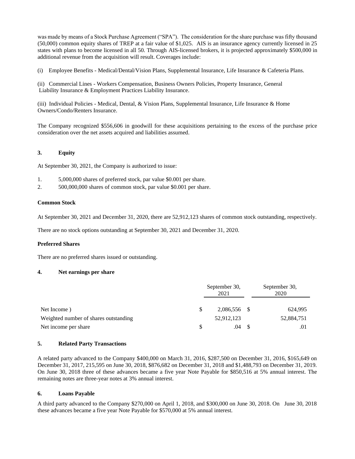was made by means of a Stock Purchase Agreement ("SPA"). The consideration for the share purchase was fifty thousand (50,000) common equity shares of TREP at a fair value of \$1,025. AIS is an insurance agency currently licensed in 25 states with plans to become licensed in all 50. Through AIS-licensed brokers, it is projected approximately \$500,000 in additional revenue from the acquisition will result. Coverages include:

(i) Employee Benefits - Medical/Dental/Vision Plans, Supplemental Insurance, Life Insurance & Cafeteria Plans.

(ii) Commercial Lines - Workers Compensation, Business Owners Policies, Property Insurance, General Liability Insurance & Employment Practices Liability Insurance.

(iii) Individual Policies - Medical, Dental, & Vision Plans, Supplemental Insurance, Life Insurance & Home Owners/Condo/Renters Insurance.

The Company recognized \$556,606 in goodwill for these acquisitions pertaining to the excess of the purchase price consideration over the net assets acquired and liabilities assumed.

#### **3. Equity**

At September 30, 2021, the Company is authorized to issue:

- 1. 5,000,000 shares of preferred stock, par value \$0.001 per share.
- 2. 500,000,000 shares of common stock, par value \$0.001 per share.

#### **Common Stock**

At September 30, 2021 and December 31, 2020, there are 52,912,123 shares of common stock outstanding, respectively.

There are no stock options outstanding at September 30, 2021 and December 31, 2020.

#### **Preferred Shares**

There are no preferred shares issued or outstanding.

#### **4. Net earnings per share**

|                                       | September 30,<br>2021 |              |  | September 30,<br>2020 |  |  |
|---------------------------------------|-----------------------|--------------|--|-----------------------|--|--|
| Net Income)                           | S                     | 2,086,556 \$ |  | 624,995               |  |  |
| Weighted number of shares outstanding |                       | 52,912,123   |  | 52,884,751            |  |  |
| Net income per share                  | <b>S</b>              | .04          |  | .01                   |  |  |

#### **5. Related Party Transactions**

A related party advanced to the Company \$400,000 on March 31, 2016, \$287,500 on December 31, 2016, \$165,649 on December 31, 2017, 215,595 on June 30, 2018, \$876,682 on December 31, 2018 and \$1,488,793 on December 31, 2019. On June 30, 2018 three of these advances became a five year Note Payable for \$850,516 at 5% annual interest. The remaining notes are three-year notes at 3% annual interest.

#### **6. Loans Payable**

A third party advanced to the Company \$270,000 on April 1, 2018, and \$300,000 on June 30, 2018. On June 30, 2018 these advances became a five year Note Payable for \$570,000 at 5% annual interest.